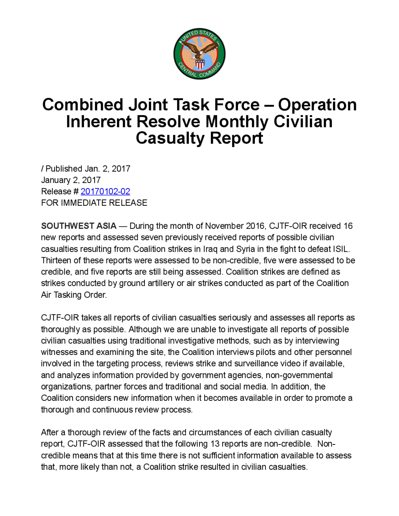

## **Combined Joint Task Force – Operation** Inherent Resolve Monthly Civilian Casualty Report

/ Published Jan. 2, 2017 January 2, 2017 Release # 20170102-02 FOR IMMEDIATE RELEASE

SOUTHWESTASIA — During the month of November 2016, CJTF-OIR received 16 new reports and assessed seven previously received reports of possible civilian casualties resulting from Coalition strikes in Iraq and Syria in the fight to defeat ISIL Thirteen of these reports were assessed to be non-credible, five were assessedto be credible, and five reports are still being assessed. Coalition strikes are defined as strikes conducted by ground artillery or air strikes conducted as part of the Coalition Air Tasking Order

CJTF-OIR takes all reports of civilian casualties seriously and assesses all reports as thoroughly as possible. Although we are unable to investigate all reports of possible civilian casualties using traditional investigative methods, such as by interviewing witnesses and examining the site, the Coalition interviews pilots and other personnel involved in the targeting process, reviews strike and surveillance video if available, and analyzes information provided by government agencies, non-governmental organizations, partner forces and traditional and social media. In addition, the Coalition considers new informationwhen it becomes available in order to promote a thorough and continuous review process.

After a thorough review of the facts and circumstances of each civilian casualty report, CJTF-OIR assessed that the following 13 reports are non-credible. Noncredible means that at this time there is not sufficient information available to assess that, more likely than not, a Coalition strike resulted in civilian casualties.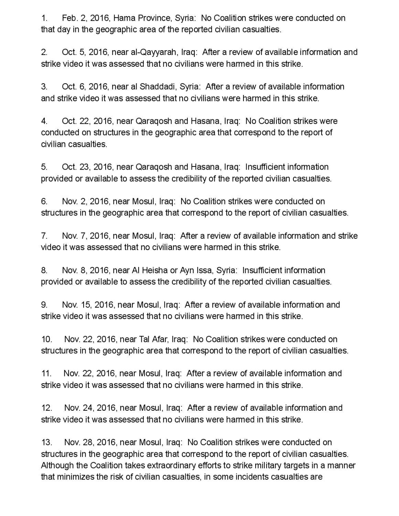1. Feb. 2, 2016 , Hama Province, Syria : No Coalition strikes were conducted on that day in the geographic area of the reported civilian casualties .

2. Oct. 5, 2016, near al-Qayyarah, Iraq: After a review of available information and strike video it was assessed that no civilians were harmed in this strike.

<sup>3</sup> Oct.6 , 2016, near al Shaddadi, Syria: After <sup>a</sup> review of available information and strike video it was assessed that no civilians were harmed in this strike.

4. Oct. 22, 2016, near Qaraqosh and Hasana, Iraq: No Coalition strikes were conducted on structures in the geographic area that correspond to the report of civilian casualties.

5. Oct. 23, 2016, near Qaraqosh and Hasana, Iraq: Insufficient information provided or available to assess the credibility of the reported civilian casualties.

6. Nov. 2, 2016, near Mosul, Iraq: No Coalition strikes were conducted on structures in the geographic area that correspond to the report of civilian casualties.

7. Nov. 7, 2016, near Mosul, Iraq: After a review of available information and strike video it was assessed that no civilians were harmed in this strike .

8. Nov. 8, 2016, near AI Heisha or Ayn Issa, Syria: Insufficient information provided or available to assess the credibility of the reported civilian casualties .

9 Nov. 15 2016, near Mosul, Iraq: After a review of available information and strike video it was assessed that no civilians were harmed in this strike.

10. Nov. 22, 2016, near Tal Afar, Iraq: No Coalition strikes were conducted on structures in the geographic area that correspond to the report of civilian casualties.

11 Nov. 22, 2016, near Mosul, Iraq: After a review of available information and strike video it was assessed that no civilians were harmed in this strike.

12. Nov. 24, 2016 , near Mosul, Iraq: After a review of available information and strike video it was assessed that no civilians were harmed in this strike .

13. 28, 2016 , near Mosul, Iraq: No Coalition strikes were conducted on structures in the geographic area that correspond to the report of civilian casualties . Although the Coalition takes extraordinary efforts to strike military targets in a manner that minimizes the risk of civilian casualties , in some incidents casualties are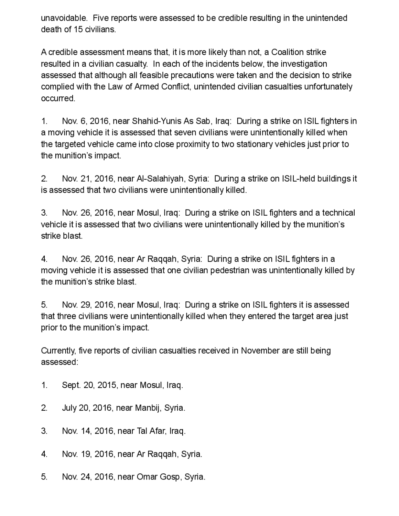unavoidable. Five reports were assessed to be credible resulting in the unintended death of 15 civilians.

A credible assessment means that, it is more likely than not, <sup>a</sup> Coalition strike resulted in a civilian casualty. In each of the incidents below, the investigation assessed that although all feasible precautions were taken and the decision to strike complied with the Law of Armed Conflict, unintended civilian casualties unfortunately occurred.

1 Nov. 6, 2016, near Shahid-Yunis As Sab, Iraq: During a strike on ISIL fighters in a moving vehicle it is assessed that seven civilians were unintentionally killed when the targeted vehicle came into close proximity to two stationary vehicles just prior to the munition's impact.

2. Nov. 21, 2016, near Al-Salahiyah, Syria: During a strike on ISIL-held buildings it is assessed that two civilians were unintentionally killed .

3. Nov. 26, 2016, near Mosul, Iraq: During a strike on ISIL fighters and a technical vehicle it is assessed that two civilians were unintentionally killed by the munition's strike blast.

4. Nov. 26, 2016, near Ar Raggah, Syria: During a strike on ISIL fighters in a moving vehicle it is assessed that one civilian pedestrian was unintentionally killed by the munition's strike blast.

5. Nov. 29, 2016, near Mosul, Iraq: During a strike on ISIL fighters it is assessed that three civilians were unintentionally killed when they entered the target area just prior to the munition's impact.

Currently, five reports of civilian casualties received in November are still being assessed:

- 1. Sept. 20, 2015, near Mosul, Iraq.
- 2. July 20, 2016, near Manbij, Syria.
- 3. Nov. 14, 2016, near Tal Afar, Iraq.
- 4. Nov. 19, 2016, near Ar Raqqah, Syria.
- 5. Nov. 24, 2016, near Omar Gosp, Syria.